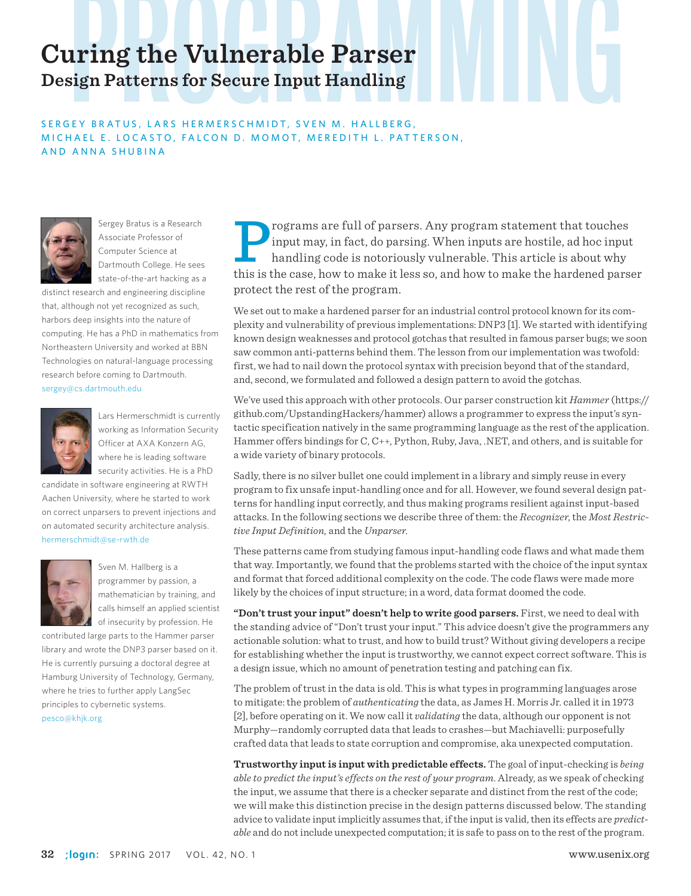## **Curing the Vulnerable Parser Design Patterns for Secure Input Handling**

#### SERGEY BRATUS, LARS HERMERSCHMIDT, SVEN M. HALLBERG, MICHAEL E. LOCASTO, FALCON D. MOMOT, MEREDITH L. PATTERSON, AND ANNA SHUBINA



Sergey Bratus is a Research Associate Professor of Computer Science at Dartmouth College. He sees state-of-the-art hacking as a

distinct research and engineering discipline that, although not yet recognized as such, harbors deep insights into the nature of computing. He has a PhD in mathematics from Northeastern University and worked at BBN Technologies on natural-language processing research before coming to Dartmouth. sergey@cs.dartmouth.edu



Lars Hermerschmidt is currently working as Information Security Officer at AXA Konzern AG, where he is leading software security activities. He is a PhD

candidate in software engineering at RWTH Aachen University, where he started to work on correct unparsers to prevent injections and on automated security architecture analysis. hermerschmidt@se-rwth.de



Sven M. Hallberg is a programmer by passion, a mathematician by training, and calls himself an applied scientist of insecurity by profession. He

contributed large parts to the Hammer parser library and wrote the DNP3 parser based on it. He is currently pursuing a doctoral degree at Hamburg University of Technology, Germany, where he tries to further apply LangSec principles to cybernetic systems. pesco@khjk.org

rograms are full of parsers. Any program statement that touches<br>input may, in fact, do parsing. When inputs are hostile, ad hoc input<br>handling code is notoriously vulnerable. This article is about why<br>this is the case, how input may, in fact, do parsing. When inputs are hostile, ad hoc input handling code is notoriously vulnerable. This article is about why this is the case, how to make it less so, and how to make the hardened parser protect the rest of the program.

We set out to make a hardened parser for an industrial control protocol known for its complexity and vulnerability of previous implementations: DNP3 [1]. We started with identifying known design weaknesses and protocol gotchas that resulted in famous parser bugs; we soon saw common anti-patterns behind them. The lesson from our implementation was twofold: first, we had to nail down the protocol syntax with precision beyond that of the standard, and, second, we formulated and followed a design pattern to avoid the gotchas.

We've used this approach with other protocols. Our parser construction kit *Hammer* (https:// github.com/UpstandingHackers/hammer) allows a programmer to express the input's syntactic specification natively in the same programming language as the rest of the application. Hammer offers bindings for C, C++, Python, Ruby, Java, .NET, and others, and is suitable for a wide variety of binary protocols.

Sadly, there is no silver bullet one could implement in a library and simply reuse in every program to fix unsafe input-handling once and for all. However, we found several design patterns for handling input correctly, and thus making programs resilient against input-based attacks. In the following sections we describe three of them: the *Recognizer*, the *Most Restrictive Input Definition,* and the *Unparser*.

These patterns came from studying famous input-handling code flaws and what made them that way. Importantly, we found that the problems started with the choice of the input syntax and format that forced additional complexity on the code. The code flaws were made more likely by the choices of input structure; in a word, data format doomed the code.

**"Don't trust your input" doesn't help to write good parsers.** First, we need to deal with the standing advice of "Don't trust your input." This advice doesn't give the programmers any actionable solution: what to trust, and how to build trust? Without giving developers a recipe for establishing whether the input is trustworthy, we cannot expect correct software. This is a design issue, which no amount of penetration testing and patching can fix.

The problem of trust in the data is old. This is what types in programming languages arose to mitigate: the problem of *authenticating* the data, as James H. Morris Jr. called it in 1973 [2], before operating on it. We now call it *validating* the data, although our opponent is not Murphy—randomly corrupted data that leads to crashes—but Machiavelli: purposefully crafted data that leads to state corruption and compromise, aka unexpected computation.

**Trustworthy input is input with predictable effects.** The goal of input-checking is *being able to predict the input's effects on the rest of your program*. Already, as we speak of checking the input, we assume that there is a checker separate and distinct from the rest of the code; we will make this distinction precise in the design patterns discussed below. The standing advice to validate input implicitly assumes that, if the input is valid, then its effects are *predictable* and do not include unexpected computation; it is safe to pass on to the rest of the program.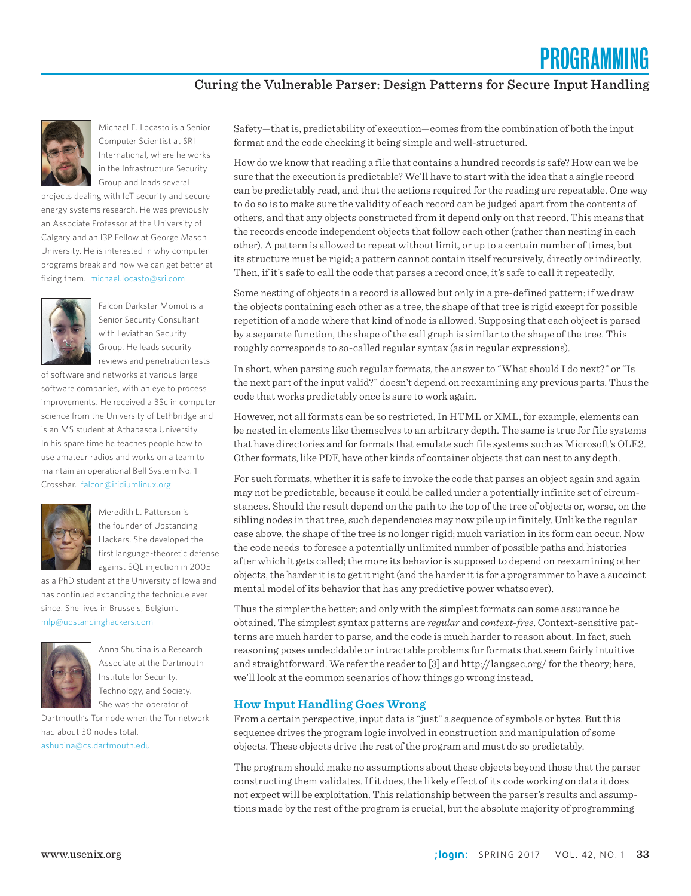### Curing the Vulnerable Parser: Design Patterns for Secure Input Handling



Michael E. Locasto is a Senior Computer Scientist at SRI International, where he works in the Infrastructure Security Group and leads several

projects dealing with IoT security and secure energy systems research. He was previously an Associate Professor at the University of Calgary and an I3P Fellow at George Mason University. He is interested in why computer programs break and how we can get better at fixing them. michael.locasto@sri.com



Falcon Darkstar Momot is a Senior Security Consultant with Leviathan Security Group. He leads security reviews and penetration tests

of software and networks at various large software companies, with an eye to process improvements. He received a BSc in computer science from the University of Lethbridge and is an MS student at Athabasca University. In his spare time he teaches people how to use amateur radios and works on a team to maintain an operational Bell System No. 1 Crossbar. falcon@iridiumlinux.org



Meredith L. Patterson is the founder of Upstanding Hackers. She developed the first language-theoretic defense against SQL injection in 2005

as a PhD student at the University of Iowa and has continued expanding the technique ever since. She lives in Brussels, Belgium. mlp@upstandinghackers.com



Anna Shubina is a Research Associate at the Dartmouth Institute for Security, Technology, and Society. She was the operator of

Dartmouth's Tor node when the Tor network had about 30 nodes total. ashubina@cs.dartmouth.edu

Safety—that is, predictability of execution—comes from the combination of both the input format and the code checking it being simple and well-structured.

How do we know that reading a file that contains a hundred records is safe? How can we be sure that the execution is predictable? We'll have to start with the idea that a single record can be predictably read, and that the actions required for the reading are repeatable. One way to do so is to make sure the validity of each record can be judged apart from the contents of others, and that any objects constructed from it depend only on that record. This means that the records encode independent objects that follow each other (rather than nesting in each other). A pattern is allowed to repeat without limit, or up to a certain number of times, but its structure must be rigid; a pattern cannot contain itself recursively, directly or indirectly. Then, if it's safe to call the code that parses a record once, it's safe to call it repeatedly.

Some nesting of objects in a record is allowed but only in a pre-defined pattern: if we draw the objects containing each other as a tree, the shape of that tree is rigid except for possible repetition of a node where that kind of node is allowed. Supposing that each object is parsed by a separate function, the shape of the call graph is similar to the shape of the tree. This roughly corresponds to so-called regular syntax (as in regular expressions).

In short, when parsing such regular formats, the answer to "What should I do next?" or "Is the next part of the input valid?" doesn't depend on reexamining any previous parts. Thus the code that works predictably once is sure to work again.

However, not all formats can be so restricted. In HTML or XML, for example, elements can be nested in elements like themselves to an arbitrary depth. The same is true for file systems that have directories and for formats that emulate such file systems such as Microsoft's OLE2. Other formats, like PDF, have other kinds of container objects that can nest to any depth.

For such formats, whether it is safe to invoke the code that parses an object again and again may not be predictable, because it could be called under a potentially infinite set of circumstances. Should the result depend on the path to the top of the tree of objects or, worse, on the sibling nodes in that tree, such dependencies may now pile up infinitely. Unlike the regular case above, the shape of the tree is no longer rigid; much variation in its form can occur. Now the code needs to foresee a potentially unlimited number of possible paths and histories after which it gets called; the more its behavior is supposed to depend on reexamining other objects, the harder it is to get it right (and the harder it is for a programmer to have a succinct mental model of its behavior that has any predictive power whatsoever).

Thus the simpler the better; and only with the simplest formats can some assurance be obtained. The simplest syntax patterns are *regular* and *context-free*. Context-sensitive patterns are much harder to parse, and the code is much harder to reason about. In fact, such reasoning poses undecidable or intractable problems for formats that seem fairly intuitive and straightforward. We refer the reader to [3] and http://langsec.org/ for the theory; here, we'll look at the common scenarios of how things go wrong instead.

#### **How Input Handling Goes Wrong**

From a certain perspective, input data is "just" a sequence of symbols or bytes. But this sequence drives the program logic involved in construction and manipulation of some objects. These objects drive the rest of the program and must do so predictably.

The program should make no assumptions about these objects beyond those that the parser constructing them validates. If it does, the likely effect of its code working on data it does not expect will be exploitation. This relationship between the parser's results and assumptions made by the rest of the program is crucial, but the absolute majority of programming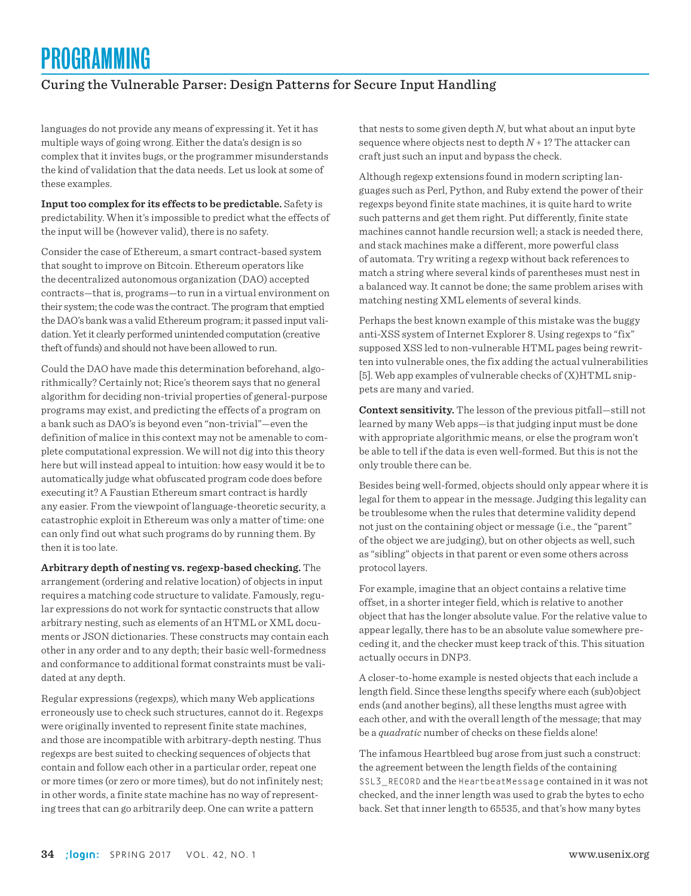## Curing the Vulnerable Parser: Design Patterns for Secure Input Handling

languages do not provide any means of expressing it. Yet it has multiple ways of going wrong. Either the data's design is so complex that it invites bugs, or the programmer misunderstands the kind of validation that the data needs. Let us look at some of these examples.

**Input too complex for its effects to be predictable.** Safety is predictability. When it's impossible to predict what the effects of the input will be (however valid), there is no safety.

Consider the case of Ethereum, a smart contract-based system that sought to improve on Bitcoin. Ethereum operators like the decentralized autonomous organization (DAO) accepted contracts—that is, programs—to run in a virtual environment on their system; the code was the contract. The program that emptied the DAO's bank was a valid Ethereum program; it passed input validation. Yet it clearly performed unintended computation (creative theft of funds) and should not have been allowed to run.

Could the DAO have made this determination beforehand, algorithmically? Certainly not; Rice's theorem says that no general algorithm for deciding non-trivial properties of general-purpose programs may exist, and predicting the effects of a program on a bank such as DAO's is beyond even "non-trivial"—even the definition of malice in this context may not be amenable to complete computational expression. We will not dig into this theory here but will instead appeal to intuition: how easy would it be to automatically judge what obfuscated program code does before executing it? A Faustian Ethereum smart contract is hardly any easier. From the viewpoint of language-theoretic security, a catastrophic exploit in Ethereum was only a matter of time: one can only find out what such programs do by running them. By then it is too late.

**Arbitrary depth of nesting vs. regexp-based checking.** The arrangement (ordering and relative location) of objects in input requires a matching code structure to validate. Famously, regular expressions do not work for syntactic constructs that allow arbitrary nesting, such as elements of an HTML or XML documents or JSON dictionaries. These constructs may contain each other in any order and to any depth; their basic well-formedness and conformance to additional format constraints must be validated at any depth.

Regular expressions (regexps), which many Web applications erroneously use to check such structures, cannot do it. Regexps were originally invented to represent finite state machines, and those are incompatible with arbitrary-depth nesting. Thus regexps are best suited to checking sequences of objects that contain and follow each other in a particular order, repeat one or more times (or zero or more times), but do not infinitely nest; in other words, a finite state machine has no way of representing trees that can go arbitrarily deep. One can write a pattern

that nests to some given depth *N*, but what about an input byte sequence where objects nest to depth  $N+1$ ? The attacker can craft just such an input and bypass the check.

Although regexp extensions found in modern scripting languages such as Perl, Python, and Ruby extend the power of their regexps beyond finite state machines, it is quite hard to write such patterns and get them right. Put differently, finite state machines cannot handle recursion well; a stack is needed there, and stack machines make a different, more powerful class of automata. Try writing a regexp without back references to match a string where several kinds of parentheses must nest in a balanced way. It cannot be done; the same problem arises with matching nesting XML elements of several kinds.

Perhaps the best known example of this mistake was the buggy anti-XSS system of Internet Explorer 8. Using regexps to "fix" supposed XSS led to non-vulnerable HTML pages being rewritten into vulnerable ones, the fix adding the actual vulnerabilities [5]. Web app examples of vulnerable checks of (X)HTML snippets are many and varied.

**Context sensitivity.** The lesson of the previous pitfall—still not learned by many Web apps—is that judging input must be done with appropriate algorithmic means, or else the program won't be able to tell if the data is even well-formed. But this is not the only trouble there can be.

Besides being well-formed, objects should only appear where it is legal for them to appear in the message. Judging this legality can be troublesome when the rules that determine validity depend not just on the containing object or message (i.e., the "parent" of the object we are judging), but on other objects as well, such as "sibling" objects in that parent or even some others across protocol layers.

For example, imagine that an object contains a relative time offset, in a shorter integer field, which is relative to another object that has the longer absolute value. For the relative value to appear legally, there has to be an absolute value somewhere preceding it, and the checker must keep track of this. This situation actually occurs in DNP3.

A closer-to-home example is nested objects that each include a length field. Since these lengths specify where each (sub)object ends (and another begins), all these lengths must agree with each other, and with the overall length of the message; that may be a *quadratic* number of checks on these fields alone!

The infamous Heartbleed bug arose from just such a construct: the agreement between the length fields of the containing SSL3\_RECORD and the HeartbeatMessage contained in it was not checked, and the inner length was used to grab the bytes to echo back. Set that inner length to 65535, and that's how many bytes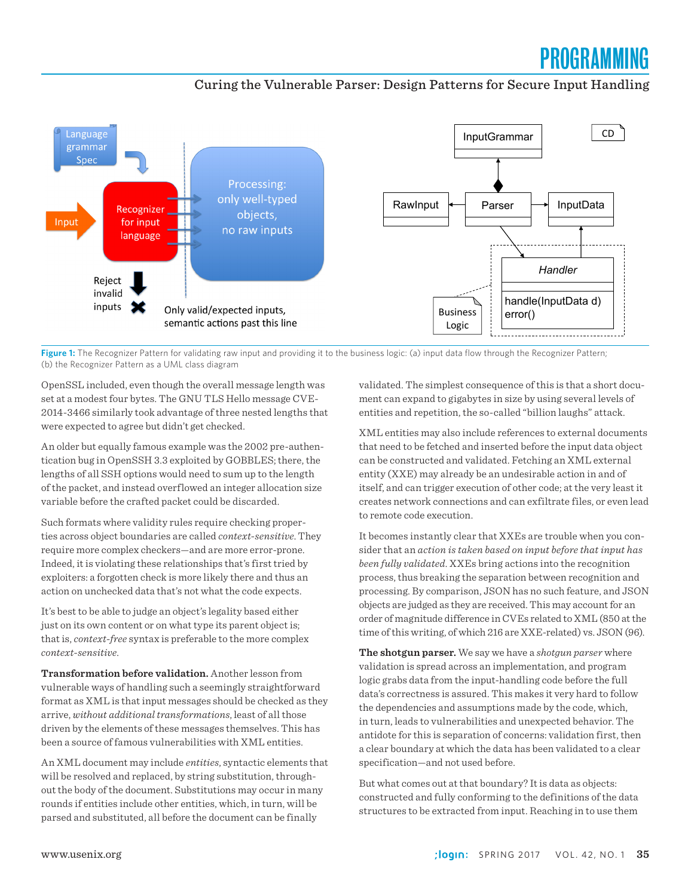# PROGRAMM

### Curing the Vulnerable Parser: Design Patterns for Secure Input Handling



**Figure 1:** The Recognizer Pattern for validating raw input and providing it to the business logic: (a) input data flow through the Recognizer Pattern; (b) the Recognizer Pattern as a UML class diagram

OpenSSL included, even though the overall message length was set at a modest four bytes. The GNU TLS Hello message CVE-2014-3466 similarly took advantage of three nested lengths that were expected to agree but didn't get checked.

An older but equally famous example was the 2002 pre-authentication bug in OpenSSH 3.3 exploited by GOBBLES; there, the lengths of all SSH options would need to sum up to the length of the packet, and instead overflowed an integer allocation size variable before the crafted packet could be discarded.

Such formats where validity rules require checking properties across object boundaries are called *context-sensitive*. They require more complex checkers—and are more error-prone. Indeed, it is violating these relationships that's first tried by exploiters: a forgotten check is more likely there and thus an action on unchecked data that's not what the code expects.

It's best to be able to judge an object's legality based either just on its own content or on what type its parent object is; that is, *context-free* syntax is preferable to the more complex *context-sensitive*.

**Transformation before validation.** Another lesson from vulnerable ways of handling such a seemingly straightforward format as XML is that input messages should be checked as they arrive, *without additional transformations*, least of all those driven by the elements of these messages themselves. This has been a source of famous vulnerabilities with XML entities.

An XML document may include *entities*, syntactic elements that will be resolved and replaced, by string substitution, throughout the body of the document. Substitutions may occur in many rounds if entities include other entities, which, in turn, will be parsed and substituted, all before the document can be finally

validated. The simplest consequence of this is that a short document can expand to gigabytes in size by using several levels of entities and repetition, the so-called "billion laughs" attack.

XML entities may also include references to external documents that need to be fetched and inserted before the input data object can be constructed and validated. Fetching an XML external entity (XXE) may already be an undesirable action in and of itself, and can trigger execution of other code; at the very least it creates network connections and can exfiltrate files, or even lead to remote code execution.

It becomes instantly clear that XXEs are trouble when you consider that an *action is taken based on input before that input has been fully validated*. XXEs bring actions into the recognition process, thus breaking the separation between recognition and processing. By comparison, JSON has no such feature, and JSON objects are judged as they are received. This may account for an order of magnitude difference in CVEs related to XML (850 at the time of this writing, of which 216 are XXE-related) vs. JSON (96).

**The shotgun parser.** We say we have a *shotgun parser* where validation is spread across an implementation, and program logic grabs data from the input-handling code before the full data's correctness is assured. This makes it very hard to follow the dependencies and assumptions made by the code, which, in turn, leads to vulnerabilities and unexpected behavior. The antidote for this is separation of concerns: validation first, then a clear boundary at which the data has been validated to a clear specification—and not used before.

But what comes out at that boundary? It is data as objects: constructed and fully conforming to the definitions of the data structures to be extracted from input. Reaching in to use them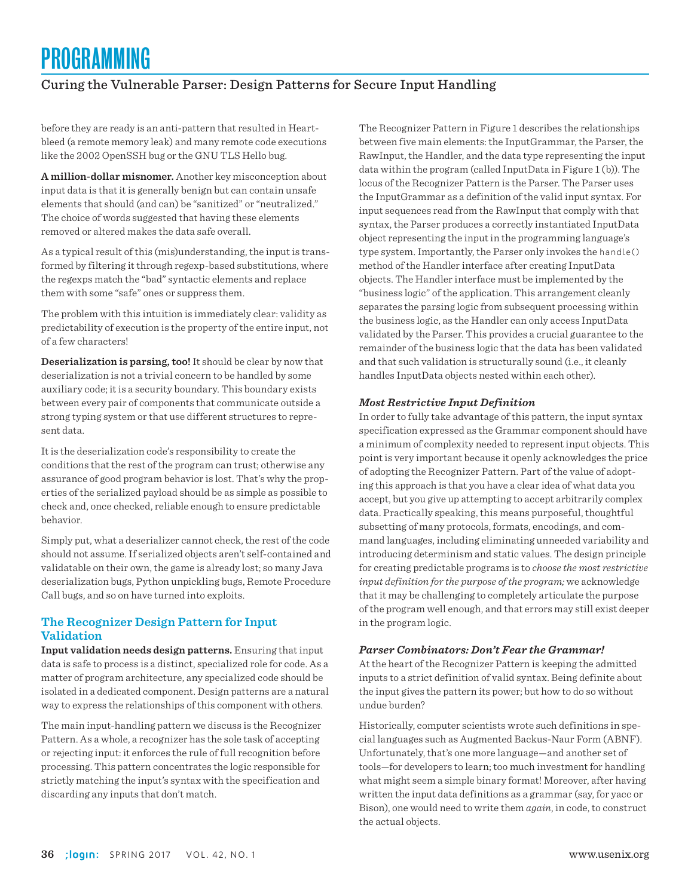## Curing the Vulnerable Parser: Design Patterns for Secure Input Handling

before they are ready is an anti-pattern that resulted in Heartbleed (a remote memory leak) and many remote code executions like the 2002 OpenSSH bug or the GNU TLS Hello bug.

**A million-dollar misnomer.** Another key misconception about input data is that it is generally benign but can contain unsafe elements that should (and can) be "sanitized" or "neutralized." The choice of words suggested that having these elements removed or altered makes the data safe overall.

As a typical result of this (mis)understanding, the input is transformed by filtering it through regexp-based substitutions, where the regexps match the "bad" syntactic elements and replace them with some "safe" ones or suppress them.

The problem with this intuition is immediately clear: validity as predictability of execution is the property of the entire input, not of a few characters!

**Deserialization is parsing, too!** It should be clear by now that deserialization is not a trivial concern to be handled by some auxiliary code; it is a security boundary. This boundary exists between every pair of components that communicate outside a strong typing system or that use different structures to represent data.

It is the deserialization code's responsibility to create the conditions that the rest of the program can trust; otherwise any assurance of good program behavior is lost. That's why the properties of the serialized payload should be as simple as possible to check and, once checked, reliable enough to ensure predictable behavior.

Simply put, what a deserializer cannot check, the rest of the code should not assume. If serialized objects aren't self-contained and validatable on their own, the game is already lost; so many Java deserialization bugs, Python unpickling bugs, Remote Procedure Call bugs, and so on have turned into exploits.

#### **The Recognizer Design Pattern for Input Validation**

**Input validation needs design patterns.** Ensuring that input data is safe to process is a distinct, specialized role for code. As a matter of program architecture, any specialized code should be isolated in a dedicated component. Design patterns are a natural way to express the relationships of this component with others.

The main input-handling pattern we discuss is the Recognizer Pattern. As a whole, a recognizer has the sole task of accepting or rejecting input: it enforces the rule of full recognition before processing. This pattern concentrates the logic responsible for strictly matching the input's syntax with the specification and discarding any inputs that don't match.

The Recognizer Pattern in Figure 1 describes the relationships between five main elements: the InputGrammar, the Parser, the RawInput, the Handler, and the data type representing the input data within the program (called InputData in Figure 1 (b)). The locus of the Recognizer Pattern is the Parser. The Parser uses the InputGrammar as a definition of the valid input syntax. For input sequences read from the RawInput that comply with that syntax, the Parser produces a correctly instantiated InputData object representing the input in the programming language's type system. Importantly, the Parser only invokes the handle() method of the Handler interface after creating InputData objects. The Handler interface must be implemented by the "business logic" of the application. This arrangement cleanly separates the parsing logic from subsequent processing within the business logic, as the Handler can only access InputData validated by the Parser. This provides a crucial guarantee to the remainder of the business logic that the data has been validated and that such validation is structurally sound (i.e., it cleanly handles InputData objects nested within each other).

#### *Most Restrictive Input Definition*

In order to fully take advantage of this pattern, the input syntax specification expressed as the Grammar component should have a minimum of complexity needed to represent input objects. This point is very important because it openly acknowledges the price of adopting the Recognizer Pattern. Part of the value of adopting this approach is that you have a clear idea of what data you accept, but you give up attempting to accept arbitrarily complex data. Practically speaking, this means purposeful, thoughtful subsetting of many protocols, formats, encodings, and command languages, including eliminating unneeded variability and introducing determinism and static values. The design principle for creating predictable programs is to *choose the most restrictive input definition for the purpose of the program;* we acknowledge that it may be challenging to completely articulate the purpose of the program well enough, and that errors may still exist deeper in the program logic.

#### *Parser Combinators: Don't Fear the Grammar!*

At the heart of the Recognizer Pattern is keeping the admitted inputs to a strict definition of valid syntax. Being definite about the input gives the pattern its power; but how to do so without undue burden?

Historically, computer scientists wrote such definitions in special languages such as Augmented Backus-Naur Form (ABNF). Unfortunately, that's one more language—and another set of tools—for developers to learn; too much investment for handling what might seem a simple binary format! Moreover, after having written the input data definitions as a grammar (say, for yacc or Bison), one would need to write them *again*, in code, to construct the actual objects.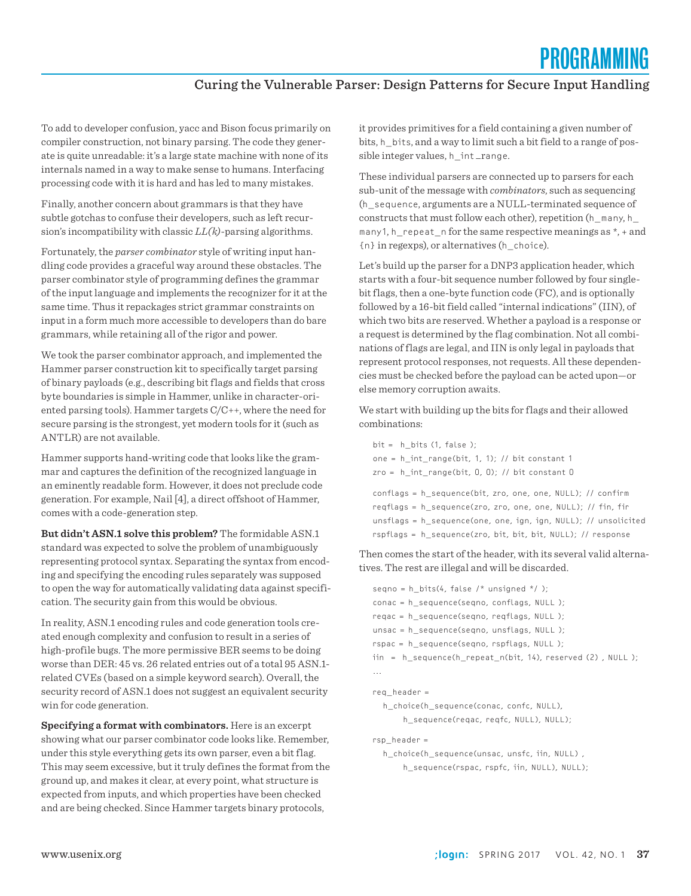### Curing the Vulnerable Parser: Design Patterns for Secure Input Handling

To add to developer confusion, yacc and Bison focus primarily on compiler construction, not binary parsing. The code they generate is quite unreadable: it's a large state machine with none of its internals named in a way to make sense to humans. Interfacing processing code with it is hard and has led to many mistakes.

Finally, another concern about grammars is that they have subtle gotchas to confuse their developers, such as left recursion's incompatibility with classic *LL(k)*-parsing algorithms.

Fortunately, the *parser combinator* style of writing input handling code provides a graceful way around these obstacles. The parser combinator style of programming defines the grammar of the input language and implements the recognizer for it at the same time. Thus it repackages strict grammar constraints on input in a form much more accessible to developers than do bare grammars, while retaining all of the rigor and power.

We took the parser combinator approach, and implemented the Hammer parser construction kit to specifically target parsing of binary payloads (e.g., describing bit flags and fields that cross byte boundaries is simple in Hammer, unlike in character-oriented parsing tools). Hammer targets C/C++, where the need for secure parsing is the strongest, yet modern tools for it (such as ANTLR) are not available.

Hammer supports hand-writing code that looks like the grammar and captures the definition of the recognized language in an eminently readable form. However, it does not preclude code generation. For example, Nail [4], a direct offshoot of Hammer, comes with a code-generation step.

**But didn't ASN.1 solve this problem?** The formidable ASN.1 standard was expected to solve the problem of unambiguously representing protocol syntax. Separating the syntax from encoding and specifying the encoding rules separately was supposed to open the way for automatically validating data against specification. The security gain from this would be obvious.

In reality, ASN.1 encoding rules and code generation tools created enough complexity and confusion to result in a series of high-profile bugs. The more permissive BER seems to be doing worse than DER: 45 vs. 26 related entries out of a total 95 ASN.1 related CVEs (based on a simple keyword search). Overall, the security record of ASN.1 does not suggest an equivalent security win for code generation.

**Specifying a format with combinators.** Here is an excerpt showing what our parser combinator code looks like. Remember, under this style everything gets its own parser, even a bit flag. This may seem excessive, but it truly defines the format from the ground up, and makes it clear, at every point, what structure is expected from inputs, and which properties have been checked and are being checked. Since Hammer targets binary protocols,

it provides primitives for a field containing a given number of bits, h\_bits, and a way to limit such a bit field to a range of possible integer values, h\_int \_range.

These individual parsers are connected up to parsers for each sub-unit of the message with *combinators*, such as sequencing (h\_sequence, arguments are a NULL-terminated sequence of constructs that must follow each other), repetition (h\_many, h\_ many1, h\_repeat\_n for the same respective meanings as \*, + and {n} in regexps), or alternatives (h\_choice).

Let's build up the parser for a DNP3 application header, which starts with a four-bit sequence number followed by four singlebit flags, then a one-byte function code (FC), and is optionally followed by a 16-bit field called "internal indications" (IIN), of which two bits are reserved. Whether a payload is a response or a request is determined by the flag combination. Not all combinations of flags are legal, and IIN is only legal in payloads that represent protocol responses, not requests. All these dependencies must be checked before the payload can be acted upon—or else memory corruption awaits.

We start with building up the bits for flags and their allowed combinations:

```
bit = h\_bits(1, false);
one = h_int_range(bit, 1, 1); // bit constant 1
zro = h_int_range(bit, 0, 0); // bit constant 0
conflags = h_sequence(bit, zro, one, one, NULL); // confirm
reqflags = h_sequence(zro, zro, one, one, NULL); // fin, fir
unsflags = h_sequence(one, one, ign, ign, NULL); // unsolicited
rspflags = h_sequence(zro, bit, bit, bit, NULL); // response
```
Then comes the start of the header, with its several valid alternatives. The rest are illegal and will be discarded.

```
seqno = h_bits(4, false /* unsigned */ );
conac = h_sequence(seqno, conflags, NULL );
reqac = h_sequence(seqno, reqflags, NULL );
unsac = h_sequence(seqno, unsflags, NULL );
rspac = h_sequence(seqno, rspflags, NULL );
iin = h_sequence(h_repeat_n(bit, 14), reserved (2) , NULL );
...
```
req\_header =

h\_choice(h\_sequence(conac, confc, NULL),

h\_sequence(reqac, reqfc, NULL), NULL);

rsp\_header =

 h\_choice(h\_sequence(unsac, unsfc, iin, NULL) , h\_sequence(rspac, rspfc, iin, NULL), NULL);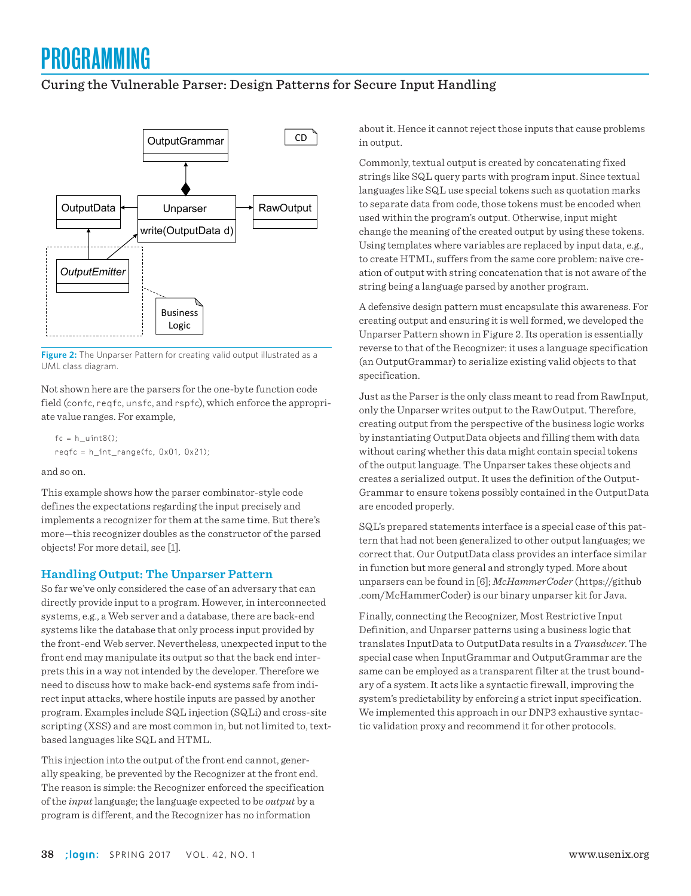## Curing the Vulnerable Parser: Design Patterns for Secure Input Handling



Figure 2: The Unparser Pattern for creating valid output illustrated as a UML class diagram.

Not shown here are the parsers for the one-byte function code field (confc, reqfc, unsfc, and rspfc), which enforce the appropriate value ranges. For example,

```
fc = h uint8();
reqfc = h_int_range(fc, 0x01, 0x21);
```
and so on.

This example shows how the parser combinator-style code defines the expectations regarding the input precisely and implements a recognizer for them at the same time. But there's more—this recognizer doubles as the constructor of the parsed objects! For more detail, see [1].

#### **Handling Output: The Unparser Pattern**

So far we've only considered the case of an adversary that can directly provide input to a program. However, in interconnected systems, e.g., a Web server and a database, there are back-end systems like the database that only process input provided by the front-end Web server. Nevertheless, unexpected input to the front end may manipulate its output so that the back end interprets this in a way not intended by the developer. Therefore we need to discuss how to make back-end systems safe from indirect input attacks, where hostile inputs are passed by another program. Examples include SQL injection (SQLi) and cross-site scripting (XSS) and are most common in, but not limited to, textbased languages like SQL and HTML.

This injection into the output of the front end cannot, generally speaking, be prevented by the Recognizer at the front end. The reason is simple: the Recognizer enforced the specification of the *input* language; the language expected to be *output* by a program is different, and the Recognizer has no information

about it. Hence it cannot reject those inputs that cause problems in output.

Commonly, textual output is created by concatenating fixed strings like SQL query parts with program input. Since textual languages like SQL use special tokens such as quotation marks to separate data from code, those tokens must be encoded when used within the program's output. Otherwise, input might change the meaning of the created output by using these tokens. Using templates where variables are replaced by input data, e.g., to create HTML, suffers from the same core problem: naïve creation of output with string concatenation that is not aware of the string being a language parsed by another program.

A defensive design pattern must encapsulate this awareness. For creating output and ensuring it is well formed, we developed the Unparser Pattern shown in Figure 2. Its operation is essentially reverse to that of the Recognizer: it uses a language specification (an OutputGrammar) to serialize existing valid objects to that specification.

Just as the Parser is the only class meant to read from RawInput, only the Unparser writes output to the RawOutput. Therefore, creating output from the perspective of the business logic works by instantiating OutputData objects and filling them with data without caring whether this data might contain special tokens of the output language. The Unparser takes these objects and creates a serialized output. It uses the definition of the Output-Grammar to ensure tokens possibly contained in the OutputData are encoded properly.

SQL's prepared statements interface is a special case of this pattern that had not been generalized to other output languages; we correct that. Our OutputData class provides an interface similar in function but more general and strongly typed. More about unparsers can be found in [6]; *McHammerCoder* (https://github .com/McHammerCoder) is our binary unparser kit for Java.

Finally, connecting the Recognizer, Most Restrictive Input Definition, and Unparser patterns using a business logic that translates InputData to OutputData results in a *Transducer*. The special case when InputGrammar and OutputGrammar are the same can be employed as a transparent filter at the trust boundary of a system. It acts like a syntactic firewall, improving the system's predictability by enforcing a strict input specification. We implemented this approach in our DNP3 exhaustive syntactic validation proxy and recommend it for other protocols.